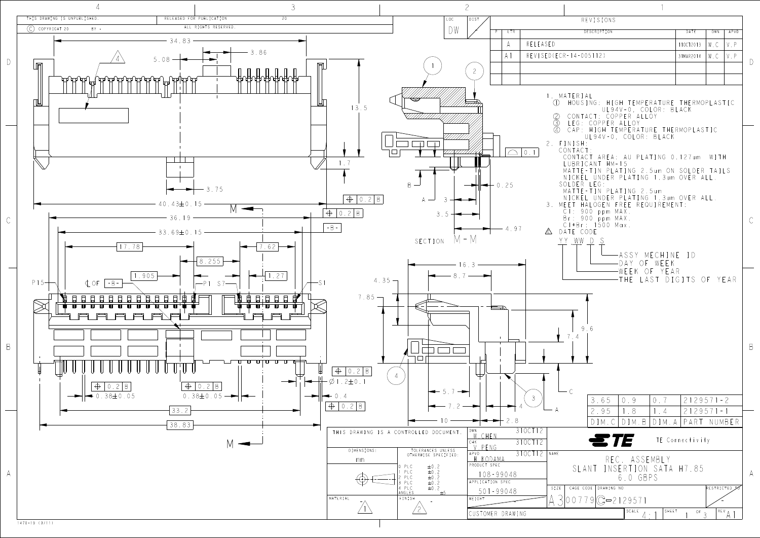

| REVISIONS                                                                             |                                       |            |        |
|---------------------------------------------------------------------------------------|---------------------------------------|------------|--------|
| <b>DESCRIPTION</b><br><b>LTR</b>                                                      | DATE                                  | <b>DWN</b> | APVD   |
| RELEASED<br>A                                                                         | 110CT2013                             | W.C        | V.P    |
| A <sub>1</sub><br>REVISED(ECR-14-005112)                                              | 31MAR2014                             | W.C        | V.P    |
|                                                                                       |                                       |            |        |
|                                                                                       |                                       |            |        |
|                                                                                       |                                       |            |        |
| 1. MATERIAL<br>HOUSING: HIGH TEMPERATURE THERMOPLASTIC<br>(1)                         |                                       |            |        |
| UL94V-0, COLOR: BLACK                                                                 |                                       |            |        |
| CONTACT: COPPER ALLOY<br>LEG: COPPER ALLOY                                            |                                       |            |        |
| CAP: HIGH TEMPERATURE THERMOPLASTIC                                                   |                                       |            |        |
| UL94V-0, COLOR: BLACK<br>2. FINISH:                                                   |                                       |            |        |
| CONTACT:<br>0.1<br>CONTACT AREA: AU PLATING 0.127um WITH                              |                                       |            |        |
| LUBRICANT HM-15                                                                       |                                       |            |        |
| TE-TIN PLATING 2.5um ON SOLDER TAILS<br>M A T<br>NICKEL UNDER PLATING 1.3um OVER ALL. |                                       |            |        |
| SOLDER LEG:<br>0.25                                                                   |                                       |            |        |
| MATTE-TIN PLATING 2.5um<br>NICKEL UNDER PLATING 1.3um OVER ALL.                       |                                       |            |        |
| MEET HALOGEN FREE REQUIREMENT:<br>3.<br>CI: 900 ppm MAX.                              |                                       |            |        |
| Br: 900 ppm MAX.                                                                      |                                       |            |        |
| $C1 + Br: 1500$ Max.<br>$-4.97$<br>DATE CODE<br>$\mathbb{A}$                          |                                       |            |        |
| YY WW<br>$\vert$ )<br>S                                                               |                                       |            |        |
|                                                                                       |                                       |            |        |
| -ASSY MECHINE ID<br>-DAY OF WEEK                                                      |                                       |            |        |
| of year<br>WEEK                                                                       |                                       |            |        |
| T H F I                                                                               | LAST DIGITS OF YEAR                   |            |        |
|                                                                                       |                                       |            |        |
|                                                                                       |                                       |            |        |
|                                                                                       |                                       |            |        |
| 9.6                                                                                   |                                       |            |        |
| $7 \t4$                                                                               |                                       |            |        |
|                                                                                       |                                       |            |        |
|                                                                                       |                                       |            |        |
|                                                                                       |                                       |            |        |
|                                                                                       |                                       |            |        |
|                                                                                       |                                       |            |        |
| 3<br>3.65<br>0.9<br>0.7<br>4                                                          | $2129571 - 2$                         |            |        |
| A<br>2.95<br>1.8<br>1.4                                                               | $2129571 - 1$                         |            |        |
| 2.8<br>DIM.C<br>DIM.B                                                                 | DIM.A<br>PART                         |            | NUMBER |
| 310CT12                                                                               |                                       |            |        |
| ETE<br>310CT1<br>$\overline{2}$                                                       | TE Connectivity                       |            |        |
| 310CT12<br>NAME<br>ASSEMBLY<br>R F C =                                                |                                       |            |        |
|                                                                                       |                                       |            |        |
| <u>\MA</u><br>EC                                                                      |                                       |            |        |
| SLANT<br>SERT<br>1 N<br>99048<br>6.0 GBPS                                             | ON SATA H7.85                         |            |        |
| N SPEC<br>CAGE CODE<br>DRAWING NO<br>SIZE                                             |                                       | RESTRICTED |        |
| 99048                                                                                 |                                       |            |        |
| $300779$ $C = 2129571$<br>SCALE<br>R DRAWING                                          | SHEET<br>$\overline{or}$ <sub>3</sub> | RE V       |        |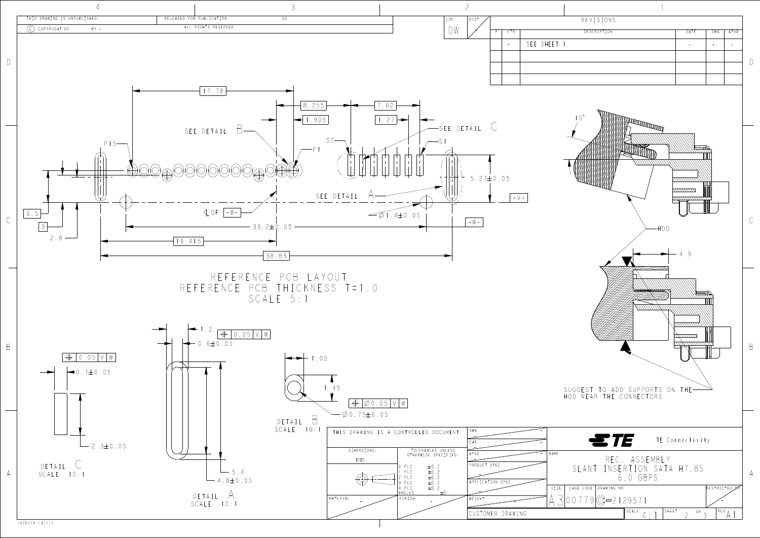